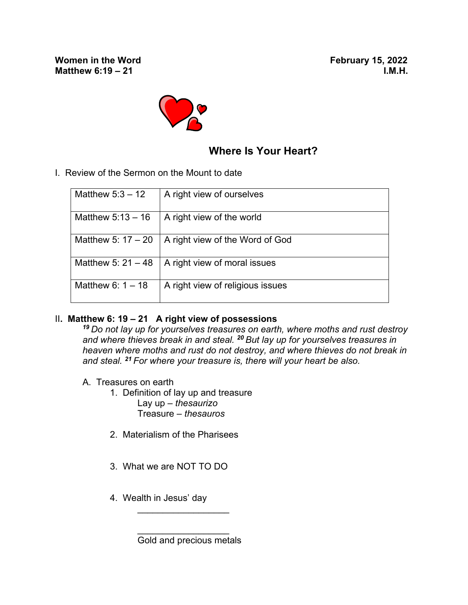

## **Where Is Your Heart?**

I. Review of the Sermon on the Mount to date

| Matthew $5:3 - 12$   | A right view of ourselves        |
|----------------------|----------------------------------|
| Matthew $5:13-16$    | A right view of the world        |
| Matthew 5: $17 - 20$ | A right view of the Word of God  |
| Matthew 5: $21 - 48$ | A right view of moral issues     |
| Matthew 6: $1 - 18$  | A right view of religious issues |

## II**. Matthew 6: 19 – 21 A right view of possessions**

*<sup>19</sup>Do not lay up for yourselves treasures on earth, where moths and rust destroy and where thieves break in and steal. <sup>20</sup>But lay up for yourselves treasures in heaven where moths and rust do not destroy, and where thieves do not break in and steal. <sup>21</sup>For where your treasure is, there will your heart be also.*

- A. Treasures on earth
	- 1. Definition of lay up and treasure Lay up – *thesaurizo* Treasure – *thesauros*
	- 2. Materialism of the Pharisees
	- 3. What we are NOT TO DO
	- 4. Wealth in Jesus' day

 $\overline{\phantom{a}}$  ,  $\overline{\phantom{a}}$  ,  $\overline{\phantom{a}}$  ,  $\overline{\phantom{a}}$  ,  $\overline{\phantom{a}}$  ,  $\overline{\phantom{a}}$  ,  $\overline{\phantom{a}}$  ,  $\overline{\phantom{a}}$  ,  $\overline{\phantom{a}}$  ,  $\overline{\phantom{a}}$  ,  $\overline{\phantom{a}}$  ,  $\overline{\phantom{a}}$  ,  $\overline{\phantom{a}}$  ,  $\overline{\phantom{a}}$  ,  $\overline{\phantom{a}}$  ,  $\overline{\phantom{a}}$ 

 $\overline{\phantom{a}}$  ,  $\overline{\phantom{a}}$  ,  $\overline{\phantom{a}}$  ,  $\overline{\phantom{a}}$  ,  $\overline{\phantom{a}}$  ,  $\overline{\phantom{a}}$  ,  $\overline{\phantom{a}}$  ,  $\overline{\phantom{a}}$  ,  $\overline{\phantom{a}}$  ,  $\overline{\phantom{a}}$  ,  $\overline{\phantom{a}}$  ,  $\overline{\phantom{a}}$  ,  $\overline{\phantom{a}}$  ,  $\overline{\phantom{a}}$  ,  $\overline{\phantom{a}}$  ,  $\overline{\phantom{a}}$ 

Gold and precious metals